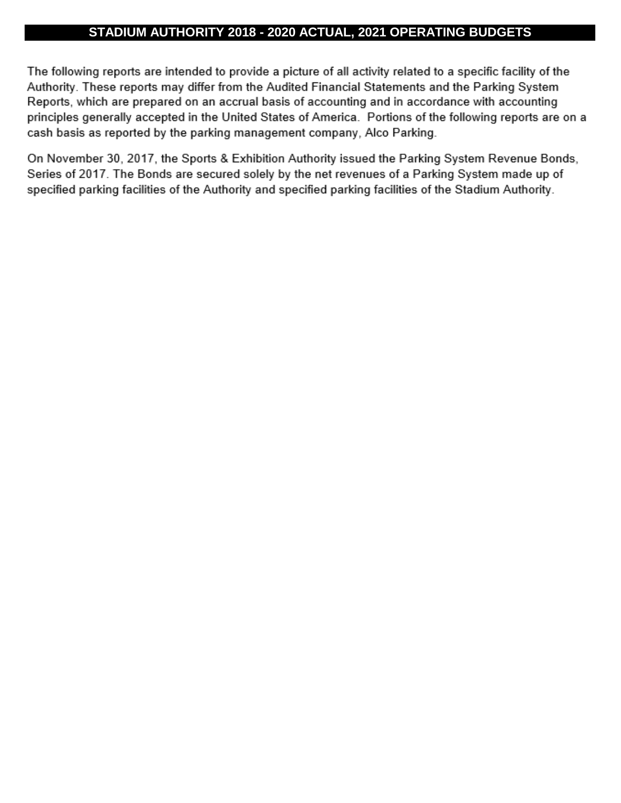## **STADIUM AUTHORITY 2018 - 2020 ACTUAL, 2021 OPERATING BUDGETS**

The following reports are intended to provide a picture of all activity related to a specific facility of the Authority. These reports may differ from the Audited Financial Statements and the Parking System Reports, which are prepared on an accrual basis of accounting and in accordance with accounting principles generally accepted in the United States of America. Portions of the following reports are on a cash basis as reported by the parking management company, Alco Parking.

On November 30, 2017, the Sports & Exhibition Authority issued the Parking System Revenue Bonds, Series of 2017. The Bonds are secured solely by the net revenues of a Parking System made up of specified parking facilities of the Authority and specified parking facilities of the Stadium Authority.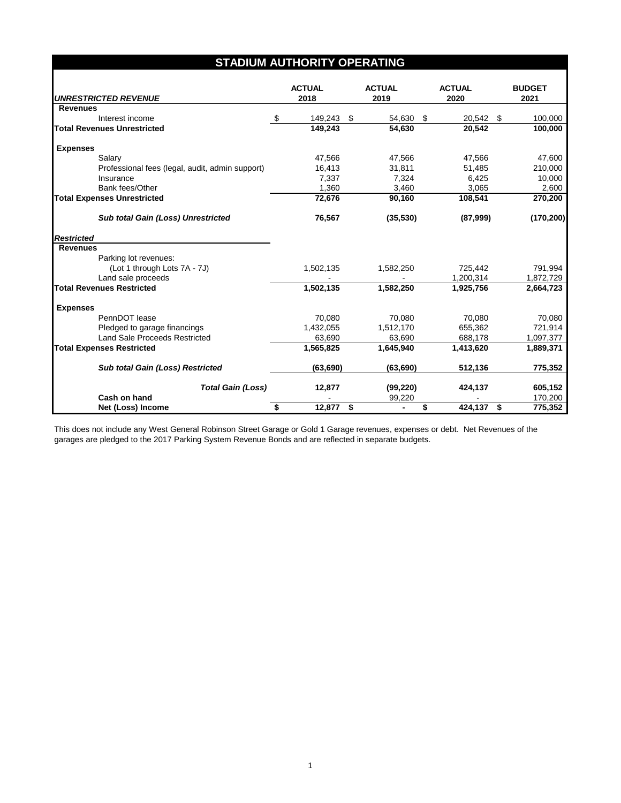| <b>STADIUM AUTHORITY OPERATING</b>              |    |                       |      |                       |    |                       |  |                       |  |
|-------------------------------------------------|----|-----------------------|------|-----------------------|----|-----------------------|--|-----------------------|--|
| <b>UNRESTRICTED REVENUE</b>                     |    | <b>ACTUAL</b><br>2018 |      | <b>ACTUAL</b><br>2019 |    | <b>ACTUAL</b><br>2020 |  | <b>BUDGET</b><br>2021 |  |
| <b>Revenues</b>                                 |    |                       |      |                       |    |                       |  |                       |  |
| Interest income                                 | \$ | 149,243               | - \$ | 54,630                | \$ | 20,542 \$             |  | 100,000               |  |
| <b>Total Revenues Unrestricted</b>              |    | 149,243               |      | 54,630                |    | 20,542                |  | 100,000               |  |
| <b>Expenses</b>                                 |    |                       |      |                       |    |                       |  |                       |  |
| Salary                                          |    | 47,566                |      | 47,566                |    | 47,566                |  | 47,600                |  |
| Professional fees (legal, audit, admin support) |    | 16,413                |      | 31,811                |    | 51,485                |  | 210,000               |  |
| Insurance                                       |    | 7,337                 |      | 7,324                 |    | 6,425                 |  | 10,000                |  |
| Bank fees/Other                                 |    | 1,360                 |      | 3,460                 |    | 3,065                 |  | 2,600                 |  |
| <b>Total Expenses Unrestricted</b>              |    | 72,676                |      | 90,160                |    | 108,541               |  | 270,200               |  |
| <b>Sub total Gain (Loss) Unrestricted</b>       |    | 76,567                |      | (35,530)              |    | (87,999)              |  | (170, 200)            |  |
| <b>Restricted</b>                               |    |                       |      |                       |    |                       |  |                       |  |
| <b>Revenues</b>                                 |    |                       |      |                       |    |                       |  |                       |  |
| Parking lot revenues:                           |    |                       |      |                       |    |                       |  |                       |  |
| (Lot 1 through Lots 7A - 7J)                    |    | 1,502,135             |      | 1,582,250             |    | 725,442               |  | 791,994               |  |
| Land sale proceeds                              |    |                       |      |                       |    | 1,200,314             |  | 1,872,729             |  |
| <b>Total Revenues Restricted</b>                |    | 1,502,135             |      | 1,582,250             |    | 1.925.756             |  | 2,664,723             |  |
| <b>Expenses</b>                                 |    |                       |      |                       |    |                       |  |                       |  |
| PennDOT lease                                   |    | 70.080                |      | 70,080                |    | 70.080                |  | 70.080                |  |
| Pledged to garage financings                    |    | 1,432,055             |      | 1,512,170             |    | 655,362               |  | 721,914               |  |
| <b>Land Sale Proceeds Restricted</b>            |    | 63,690                |      | 63,690                |    | 688,178               |  | 1,097,377             |  |
| <b>Total Expenses Restricted</b>                |    | 1,565,825             |      | 1,645,940             |    | 1,413,620             |  | 1,889,371             |  |
| Sub total Gain (Loss) Restricted                |    | (63, 690)             |      | (63, 690)             |    | 512,136               |  | 775,352               |  |
| <b>Total Gain (Loss)</b>                        |    | 12,877                |      | (99, 220)             |    | 424,137               |  | 605,152               |  |
| Cash on hand                                    |    |                       |      | 99,220                |    |                       |  | 170,200               |  |
| Net (Loss) Income                               | \$ | 12,877 \$             |      | $\blacksquare$        | \$ | 424,137 \$            |  | 775,352               |  |

This does not include any West General Robinson Street Garage or Gold 1 Garage revenues, expenses or debt. Net Revenues of the garages are pledged to the 2017 Parking System Revenue Bonds and are reflected in separate budgets.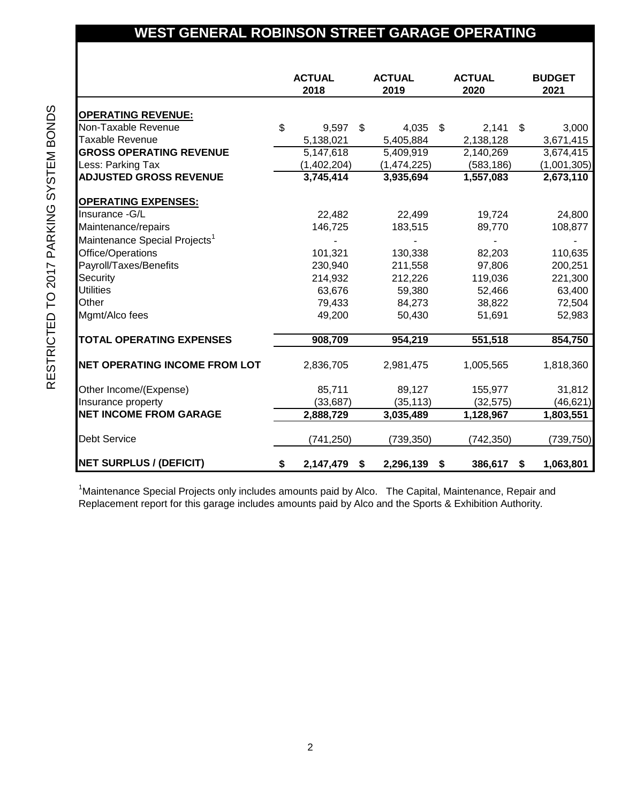## **WEST GENERAL ROBINSON STREET GARAGE OPERATING**

|                                           | <b>ACTUAL</b><br>2018 |    | <b>ACTUAL</b><br>2019 |  | <b>ACTUAL</b><br>2020 |  | <b>BUDGET</b><br>2021 |
|-------------------------------------------|-----------------------|----|-----------------------|--|-----------------------|--|-----------------------|
| <b>OPERATING REVENUE:</b>                 |                       |    |                       |  |                       |  |                       |
| Non-Taxable Revenue                       | \$<br>9,597           | \$ | $4,035$ \$            |  | $2,141$ \$            |  | 3,000                 |
| <b>Taxable Revenue</b>                    | 5,138,021             |    | 5,405,884             |  | 2,138,128             |  | 3,671,415             |
| <b>GROSS OPERATING REVENUE</b>            | 5,147,618             |    | 5,409,919             |  | 2,140,269             |  | 3,674,415             |
| Less: Parking Tax                         | (1,402,204)           |    | (1,474,225)           |  | (583, 186)            |  | (1,001,305)           |
| <b>ADJUSTED GROSS REVENUE</b>             | 3,745,414             |    | 3,935,694             |  | 1,557,083             |  | 2,673,110             |
| <b>OPERATING EXPENSES:</b>                |                       |    |                       |  |                       |  |                       |
| Insurance - G/L                           | 22,482                |    | 22,499                |  | 19,724                |  | 24,800                |
| Maintenance/repairs                       | 146,725               |    | 183,515               |  | 89,770                |  | 108,877               |
| Maintenance Special Projects <sup>1</sup> |                       |    |                       |  |                       |  |                       |
| Office/Operations                         | 101,321               |    | 130,338               |  | 82,203                |  | 110,635               |
| Payroll/Taxes/Benefits                    | 230,940               |    | 211,558               |  | 97,806                |  | 200,251               |
| Security                                  | 214,932               |    | 212,226               |  | 119,036               |  | 221,300               |
| <b>Utilities</b>                          | 63,676                |    | 59,380                |  | 52,466                |  | 63,400                |
| Other                                     | 79,433                |    | 84,273                |  | 38,822                |  | 72,504                |
| Mgmt/Alco fees                            | 49,200                |    | 50,430                |  | 51,691                |  | 52,983                |
| <b>TOTAL OPERATING EXPENSES</b>           | 908,709               |    | 954,219               |  | 551,518               |  | 854,750               |
| <b>INET OPERATING INCOME FROM LOT</b>     | 2,836,705             |    | 2,981,475             |  | 1,005,565             |  | 1,818,360             |
| Other Income/(Expense)                    | 85,711                |    | 89,127                |  | 155,977               |  | 31,812                |
| Insurance property                        | (33, 687)             |    | (35, 113)             |  | (32, 575)             |  | (46, 621)             |
| <b>NET INCOME FROM GARAGE</b>             | 2,888,729             |    | 3,035,489             |  | 1,128,967             |  | 1,803,551             |
| <b>Debt Service</b>                       | (741, 250)            |    | (739, 350)            |  | (742, 350)            |  | (739,750)             |
| <b>NET SURPLUS / (DEFICIT)</b>            | \$<br>2,147,479 \$    |    | 2,296,139 \$          |  | 386,617 \$            |  | 1,063,801             |

<sup>1</sup>Maintenance Special Projects only includes amounts paid by Alco. The Capital, Maintenance, Repair and Replacement report for this garage includes amounts paid by Alco and the Sports & Exhibition Authority.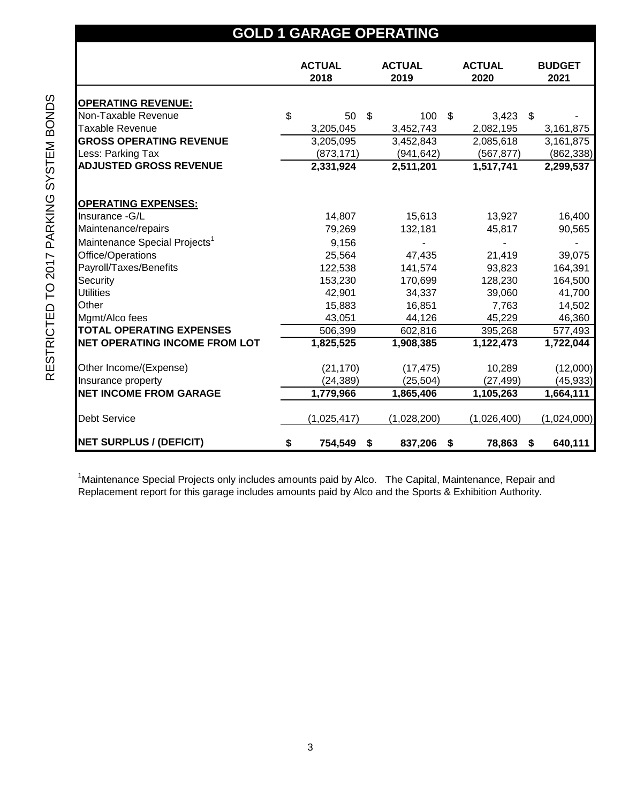| <b>GOLD 1 GARAGE OPERATING</b>            |    |                                  |                       |     |                       |    |                       |  |  |
|-------------------------------------------|----|----------------------------------|-----------------------|-----|-----------------------|----|-----------------------|--|--|
|                                           |    | <b>ACTUAL</b><br>2018            | <b>ACTUAL</b><br>2019 |     | <b>ACTUAL</b><br>2020 |    | <b>BUDGET</b><br>2021 |  |  |
| <b>OPERATING REVENUE:</b>                 |    |                                  |                       |     |                       |    |                       |  |  |
| Non-Taxable Revenue                       | \$ | 50<br>$\boldsymbol{\mathcal{F}}$ | 100 \$                |     | $3,423$ \$            |    |                       |  |  |
| Taxable Revenue                           |    | 3,205,045                        | 3,452,743             |     | 2,082,195             |    | 3,161,875             |  |  |
| <b>GROSS OPERATING REVENUE</b>            |    | 3,205,095                        | 3,452,843             |     | 2,085,618             |    | 3,161,875             |  |  |
| Less: Parking Tax                         |    | (873, 171)                       | (941, 642)            |     | (567, 877)            |    | (862, 338)            |  |  |
| <b>ADJUSTED GROSS REVENUE</b>             |    | 2,331,924                        | 2,511,201             |     | 1,517,741             |    | 2,299,537             |  |  |
| <b>OPERATING EXPENSES:</b>                |    |                                  |                       |     |                       |    |                       |  |  |
| Insurance -G/L                            |    | 14,807                           | 15,613                |     | 13,927                |    | 16,400                |  |  |
| Maintenance/repairs                       |    | 79,269                           | 132,181               |     | 45,817                |    | 90,565                |  |  |
| Maintenance Special Projects <sup>1</sup> |    | 9,156                            |                       |     |                       |    |                       |  |  |
| Office/Operations                         |    | 25,564                           | 47,435                |     | 21,419                |    | 39,075                |  |  |
| Payroll/Taxes/Benefits                    |    | 122,538                          | 141,574               |     | 93,823                |    | 164,391               |  |  |
| Security                                  |    | 153,230                          | 170,699               |     | 128,230               |    | 164,500               |  |  |
| <b>Utilities</b>                          |    | 42,901                           | 34,337                |     | 39,060                |    | 41,700                |  |  |
| Other                                     |    | 15,883                           | 16,851                |     | 7,763                 |    | 14,502                |  |  |
| Mgmt/Alco fees                            |    | 43,051                           | 44,126                |     | 45,229                |    | 46,360                |  |  |
| <b>TOTAL OPERATING EXPENSES</b>           |    | 506,399                          | 602,816               |     | 395,268               |    | 577,493               |  |  |
| <b>NET OPERATING INCOME FROM LOT</b>      |    | 1,825,525                        | 1,908,385             |     | 1,122,473             |    | 1,722,044             |  |  |
| Other Income/(Expense)                    |    | (21, 170)                        | (17, 475)             |     | 10,289                |    | (12,000)              |  |  |
| Insurance property                        |    | (24, 389)                        | (25, 504)             |     | (27, 499)             |    | (45, 933)             |  |  |
| <b>NET INCOME FROM GARAGE</b>             |    | 1,779,966                        | 1,865,406             |     | 1,105,263             |    | 1,664,111             |  |  |
| <b>Debt Service</b>                       |    | (1,025,417)                      | (1,028,200)           |     | (1,026,400)           |    | (1,024,000)           |  |  |
| <b>NET SURPLUS / (DEFICIT)</b>            | \$ | 754,549<br>\$                    | 837,206               | -\$ | 78,863                | \$ | 640,111               |  |  |

<sup>1</sup>Maintenance Special Projects only includes amounts paid by Alco. The Capital, Maintenance, Repair and Replacement report for this garage includes amounts paid by Alco and the Sports & Exhibition Authority.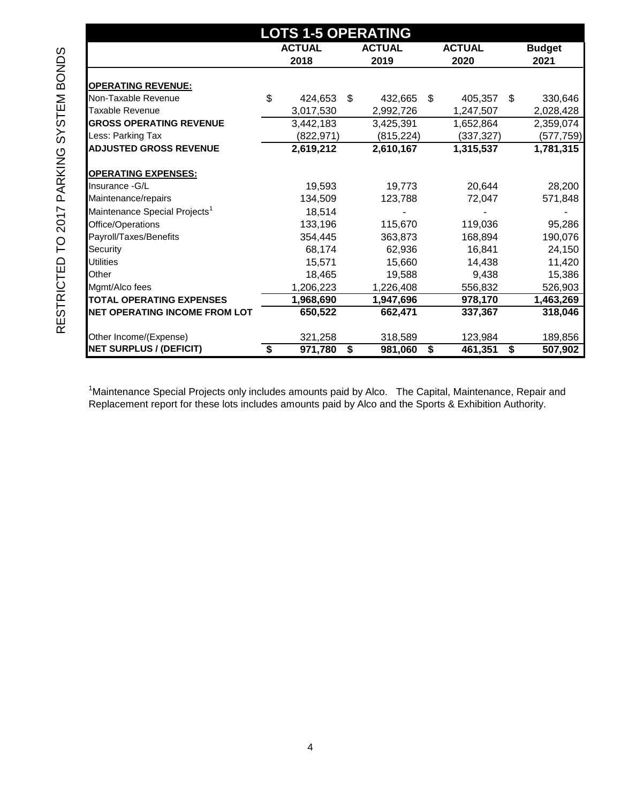| <b>LOTS 1-5 OPERATING</b>                 |    |               |    |               |               |            |    |               |  |  |  |
|-------------------------------------------|----|---------------|----|---------------|---------------|------------|----|---------------|--|--|--|
|                                           |    | <b>ACTUAL</b> |    | <b>ACTUAL</b> | <b>ACTUAL</b> |            |    | <b>Budget</b> |  |  |  |
|                                           |    | 2018          |    | 2019          |               | 2020       |    | 2021          |  |  |  |
|                                           |    |               |    |               |               |            |    |               |  |  |  |
| <b>OPERATING REVENUE:</b>                 |    |               |    |               |               |            |    |               |  |  |  |
| Non-Taxable Revenue                       | \$ | 424,653       | \$ | 432,665       | \$            | 405,357    | \$ | 330,646       |  |  |  |
| <b>Taxable Revenue</b>                    |    | 3,017,530     |    | 2,992,726     |               | 1,247,507  |    | 2,028,428     |  |  |  |
| <b>GROSS OPERATING REVENUE</b>            |    | 3,442,183     |    | 3,425,391     |               | 1,652,864  |    | 2,359,074     |  |  |  |
| Less: Parking Tax                         |    | (822, 971)    |    | (815, 224)    |               | (337, 327) |    | (577,759)     |  |  |  |
| <b>ADJUSTED GROSS REVENUE</b>             |    | 2,619,212     |    | 2,610,167     |               | 1,315,537  |    | 1,781,315     |  |  |  |
| <b>OPERATING EXPENSES:</b>                |    |               |    |               |               |            |    |               |  |  |  |
| Insurance - G/L                           |    | 19,593        |    | 19,773        |               | 20,644     |    | 28,200        |  |  |  |
| Maintenance/repairs                       |    | 134,509       |    | 123,788       |               | 72,047     |    | 571,848       |  |  |  |
| Maintenance Special Projects <sup>1</sup> |    | 18,514        |    |               |               |            |    |               |  |  |  |
| Office/Operations                         |    | 133,196       |    | 115,670       |               | 119,036    |    | 95,286        |  |  |  |
| Payroll/Taxes/Benefits                    |    | 354,445       |    | 363,873       |               | 168,894    |    | 190,076       |  |  |  |
| Security                                  |    | 68,174        |    | 62,936        |               | 16,841     |    | 24,150        |  |  |  |
| <b>Utilities</b>                          |    | 15,571        |    | 15,660        |               | 14,438     |    | 11,420        |  |  |  |
| Other                                     |    | 18,465        |    | 19,588        |               | 9,438      |    | 15,386        |  |  |  |
| Mgmt/Alco fees                            |    | 1,206,223     |    | 1,226,408     |               | 556,832    |    | 526,903       |  |  |  |
| <b>TOTAL OPERATING EXPENSES</b>           |    | 1,968,690     |    | 1,947,696     |               | 978,170    |    | 1,463,269     |  |  |  |
| <b>NET OPERATING INCOME FROM LOT</b>      |    | 650,522       |    | 662,471       |               | 337,367    |    | 318,046       |  |  |  |
| Other Income/(Expense)                    |    | 321,258       |    | 318,589       |               | 123,984    |    | 189,856       |  |  |  |
| <b>NET SURPLUS / (DEFICIT)</b>            | \$ | 971,780       | \$ | 981,060       | \$            | 461,351    | \$ | 507,902       |  |  |  |

<sup>1</sup>Maintenance Special Projects only includes amounts paid by Alco. The Capital, Maintenance, Repair and Replacement report for these lots includes amounts paid by Alco and the Sports & Exhibition Authority.